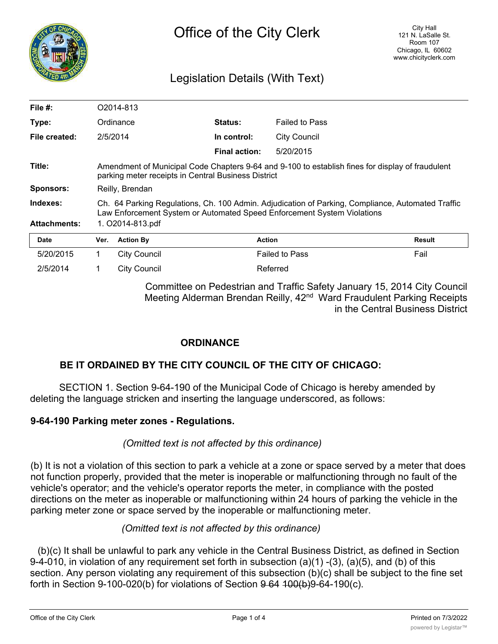

# Legislation Details (With Text)

| File $#$ :          |                                                                                                                                                                              | O2014-813           |                      |                       |               |
|---------------------|------------------------------------------------------------------------------------------------------------------------------------------------------------------------------|---------------------|----------------------|-----------------------|---------------|
| Type:               |                                                                                                                                                                              | Ordinance           | Status:              | <b>Failed to Pass</b> |               |
| File created:       |                                                                                                                                                                              | 2/5/2014            | In control:          | <b>City Council</b>   |               |
|                     |                                                                                                                                                                              |                     | <b>Final action:</b> | 5/20/2015             |               |
| Title:              | Amendment of Municipal Code Chapters 9-64 and 9-100 to establish fines for display of fraudulent<br>parking meter receipts in Central Business District                      |                     |                      |                       |               |
| <b>Sponsors:</b>    | Reilly, Brendan                                                                                                                                                              |                     |                      |                       |               |
| Indexes:            | Ch. 64 Parking Regulations, Ch. 100 Admin. Adjudication of Parking, Compliance, Automated Traffic<br>Law Enforcement System or Automated Speed Enforcement System Violations |                     |                      |                       |               |
| <b>Attachments:</b> | 1. O2014-813.pdf                                                                                                                                                             |                     |                      |                       |               |
| Date                | Ver.                                                                                                                                                                         | <b>Action By</b>    | <b>Action</b>        |                       | <b>Result</b> |
| 5/20/2015           | 1.                                                                                                                                                                           | <b>City Council</b> |                      | <b>Failed to Pass</b> | Fail          |
| 2/5/2014            |                                                                                                                                                                              | City Council        |                      | Referred              |               |

Committee on Pedestrian and Traffic Safety January 15, 2014 City Council Meeting Alderman Brendan Reilly, 42<sup>nd</sup> Ward Fraudulent Parking Receipts in the Central Business District

## **ORDINANCE**

## **BE IT ORDAINED BY THE CITY COUNCIL OF THE CITY OF CHICAGO:**

SECTION 1. Section 9-64-190 of the Municipal Code of Chicago is hereby amended by deleting the language stricken and inserting the language underscored, as follows:

#### **9-64-190 Parking meter zones - Regulations.**

#### *(Omitted text is not affected by this ordinance)*

(b) It is not a violation of this section to park a vehicle at a zone or space served by a meter that does not function properly, provided that the meter is inoperable or malfunctioning through no fault of the vehicle's operator; and the vehicle's operator reports the meter, in compliance with the posted directions on the meter as inoperable or malfunctioning within 24 hours of parking the vehicle in the parking meter zone or space served by the inoperable or malfunctioning meter.

#### *(Omitted text is not affected by this ordinance)*

(b)(c) It shall be unlawful to park any vehicle in the Central Business District, as defined in Section 9-4-010, in violation of any requirement set forth in subsection (a)(1) -(3), (a)(5), and (b) of this section. Any person violating any requirement of this subsection (b)(c) shall be subject to the fine set forth in Section 9-100-020(b) for violations of Section  $9.64$   $100(b)9 - 64 - 190(c)$ .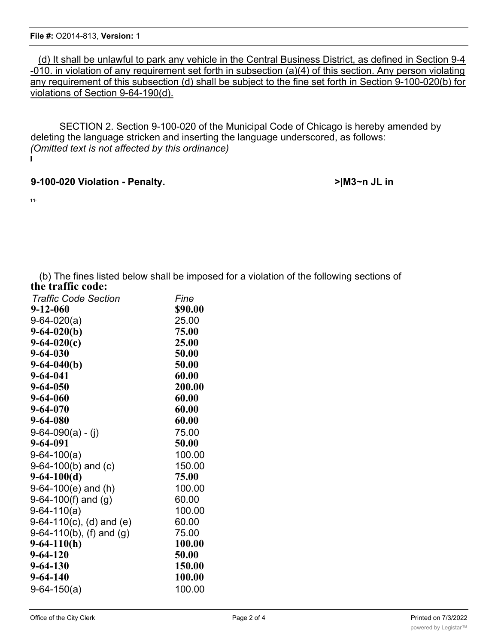(d) It shall be unlawful to park any vehicle in the Central Business District, as defined in Section 9-4 -010. in violation of any requirement set forth in subsection (a)(4) of this section. Any person violating any requirement of this subsection (d) shall be subject to the fine set forth in Section 9-100-020(b) for violations of Section 9-64-190(d).

SECTION 2. Section 9-100-020 of the Municipal Code of Chicago is hereby amended by deleting the language stricken and inserting the language underscored, as follows: *(Omitted text is not affected by this ordinance)* **l**

### **9-100-020 Violation - Penalty. >|M3~n JL in**

**11;**

(b) The fines listed below shall be imposed for a violation of the following sections of **the traffic code:**

| <b>Traffic Code Section</b> | Fine    |
|-----------------------------|---------|
| 9-12-060                    | \$90.00 |
| $9-64-020(a)$               | 25.00   |
| $9-64-020(b)$               | 75.00   |
| $9-64-020(c)$               | 25.00   |
| $9 - 64 - 030$              | 50.00   |
| $9-64-040(b)$               | 50.00   |
| $9 - 64 - 041$              | 60.00   |
| $9 - 64 - 050$              | 200.00  |
| $9 - 64 - 060$              | 60.00   |
| $9 - 64 - 070$              | 60.00   |
| 9-64-080                    | 60.00   |
| $9-64-090(a) - (j)$         | 75.00   |
| 9-64-091                    | 50.00   |
| $9-64-100(a)$               | 100.00  |
| $9-64-100(b)$ and (c)       | 150.00  |
| $9-64-100(d)$               | 75.00   |
| $9-64-100(e)$ and (h)       | 100.00  |
| 9-64-100(f) and $(g)$       | 60.00   |
| $9-64-110(a)$               | 100.00  |
| $9-64-110(c)$ , (d) and (e) | 60.00   |
| $9-64-110(b)$ , (f) and (g) | 75.00   |
| $9-64-110(h)$               | 100.00  |
| $9 - 64 - 120$              | 50.00   |
| $9 - 64 - 130$              | 150.00  |
| $9 - 64 - 140$              | 100.00  |
| $9-64-150(a)$               | 100.00  |
|                             |         |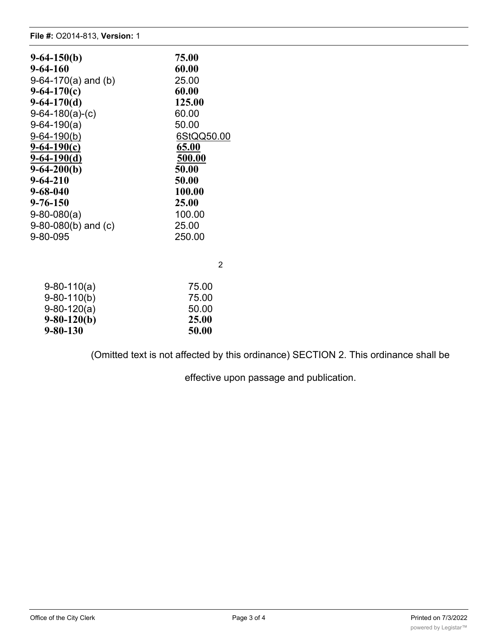#### **File #:** O2014-813, **Version:** 1

| $9-64-150(b)$           | 75.00      |
|-------------------------|------------|
| 9-64-160                | 60.00      |
| 9-64-170(a) and (b)     | 25.00      |
| $9-64-170(c)$           | 60.00      |
| $9-64-170(d)$           | 125.00     |
| $9-64-180(a)-(c)$       | 60.00      |
| $9-64-190(a)$           | 50.00      |
| $9 - 64 - 190(b)$       | 6StQQ50.00 |
| $9 - 64 - 190(c)$       | 65.00      |
| $9-64-190(d)$           | 500.00     |
| $9-64-200(b)$           | 50.00      |
| $9 - 64 - 210$          | 50.00      |
| 9-68-040                | 100.00     |
| 9-76-150                | 25.00      |
| $9-80-080(a)$           | 100.00     |
| $9-80-080(b)$ and $(c)$ | 25.00      |
| 9-80-095                | 250.00     |
|                         |            |
|                         | 2          |
| $9-80-110(a)$           | 75.00      |
| $9-80-110(b)$           | 75.00      |
| $9-80-120(a)$           | 50.00      |
| $9-80-120(b)$           | 25.00      |
| 9-80-130                | 50.00      |

(Omitted text is not affected by this ordinance) SECTION 2. This ordinance shall be

effective upon passage and publication.